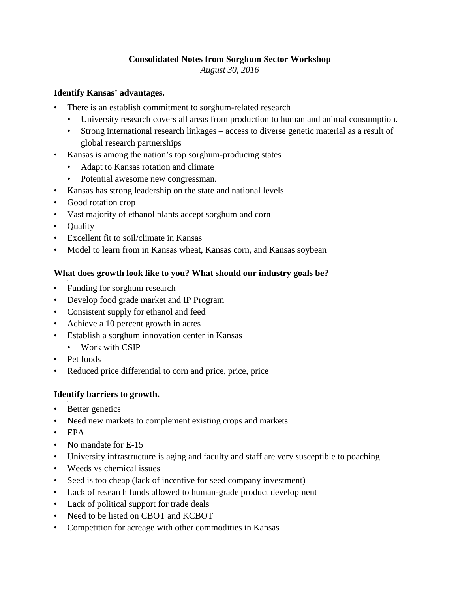# **Consolidated Notes from Sorghum Sector Workshop**

*August 30, 2016* 

# **Identify Kansas' advantages.**

- There is an establish commitment to sorghum-related research
	- University research covers all areas from production to human and animal consumption.
	- Strong international research linkages access to diverse genetic material as a result of global research partnerships
- Kansas is among the nation's top sorghum-producing states
	- Adapt to Kansas rotation and climate
	- Potential awesome new congressman.
- Kansas has strong leadership on the state and national levels
- Good rotation crop
- Vast majority of ethanol plants accept sorghum and corn
- Quality
- Excellent fit to soil/climate in Kansas
- Model to learn from in Kansas wheat, Kansas corn, and Kansas soybean

# **What does growth look like to you? What should our industry goals be?**

- • Funding for sorghum research
- Develop food grade market and IP Program
- Consistent supply for ethanol and feed
- Achieve a 10 percent growth in acres
- Establish a sorghum innovation center in Kansas
	- Work with CSIP
- Pet foods
- Reduced price differential to corn and price, price, price

### **Identify barriers to growth.**

- Better genetics
- Need new markets to complement existing crops and markets
- EPA

•

- No mandate for E-15
- University infrastructure is aging and faculty and staff are very susceptible to poaching
- Weeds vs chemical issues
- Seed is too cheap (lack of incentive for seed company investment)
- Lack of research funds allowed to human-grade product development
- Lack of political support for trade deals
- Need to be listed on CBOT and KCBOT
- Competition for acreage with other commodities in Kansas